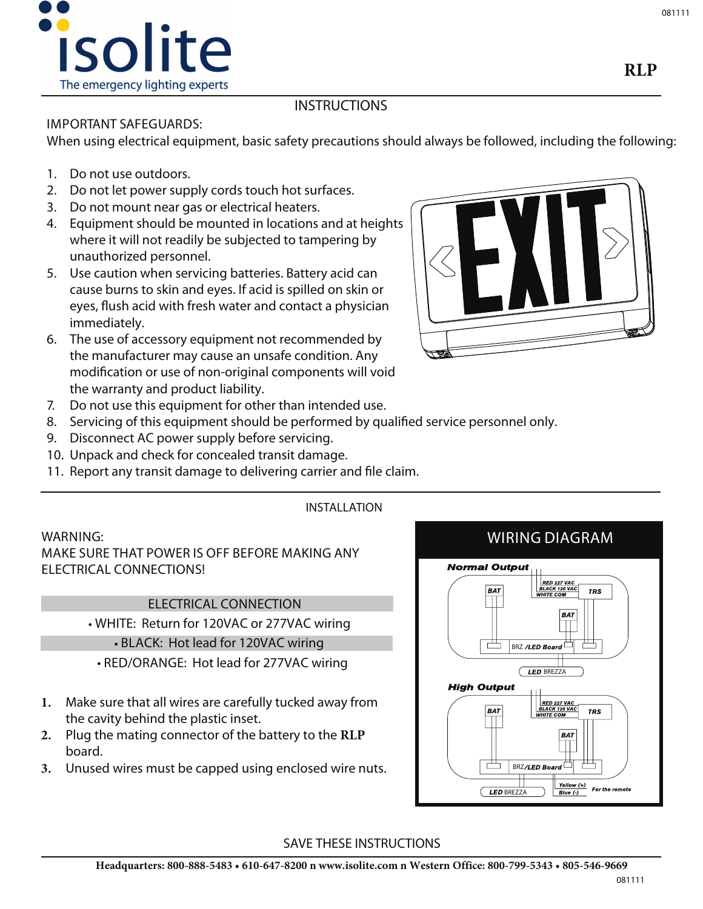

# **INSTRUCTIONS**

## **IMPORTANT SAFEGUARDS:**

When using electrical equipment, basic safety precautions should always be followed, including the following:

- 1. Do not use outdoors.
- 2. Do not let power supply cords touch hot surfaces.
- 3. Do not mount near gas or electrical heaters.
- 4. Equipment should be mounted in locations and at heights where it will not readily be subjected to tampering by unauthorized personnel.
- 5. Use caution when servicing batteries. Battery acid can cause burns to skin and eyes. If acid is spilled on skin or eyes, flush acid with fresh water and contact a physician immediately.
- 6. The use of accessory equipment not recommended by the manufacturer may cause an unsafe condition. Any modification or use of non-original components will void the warranty and product liability.



- 7. Do not use this equipment for other than intended use.
- 8. Servicing of this equipment should be performed by qualified service personnel only.

**INSTALLATION**

- 9. Disconnect AC power supply before servicing.
- 10. Unpack and check for concealed transit damage.
- 11. Report any transit damage to delivering carrier and file claim.

## **WARNING:**

MAKE SURE THAT POWER IS OFF BEFORE MAKING ANY ELECTRICAL CONNECTIONS!

## ELECTRICAL CONNECTION

WHITE: Return for 120VAC or 277VAC wiring

### BLACK: Hot lead for 120VAC wiring

- RED/ORANGE: Hot lead for 277VAC wiring
- **1.** Make sure that all wires are carefully tucked away from the cavity behind the plastic inset.
- **2.** Plug the mating connector of the battery to the **RLP** board.
- **3.** Unused wires must be capped using enclosed wire nuts.



## **SAVE THESE INSTRUCTIONS**

**RLP**